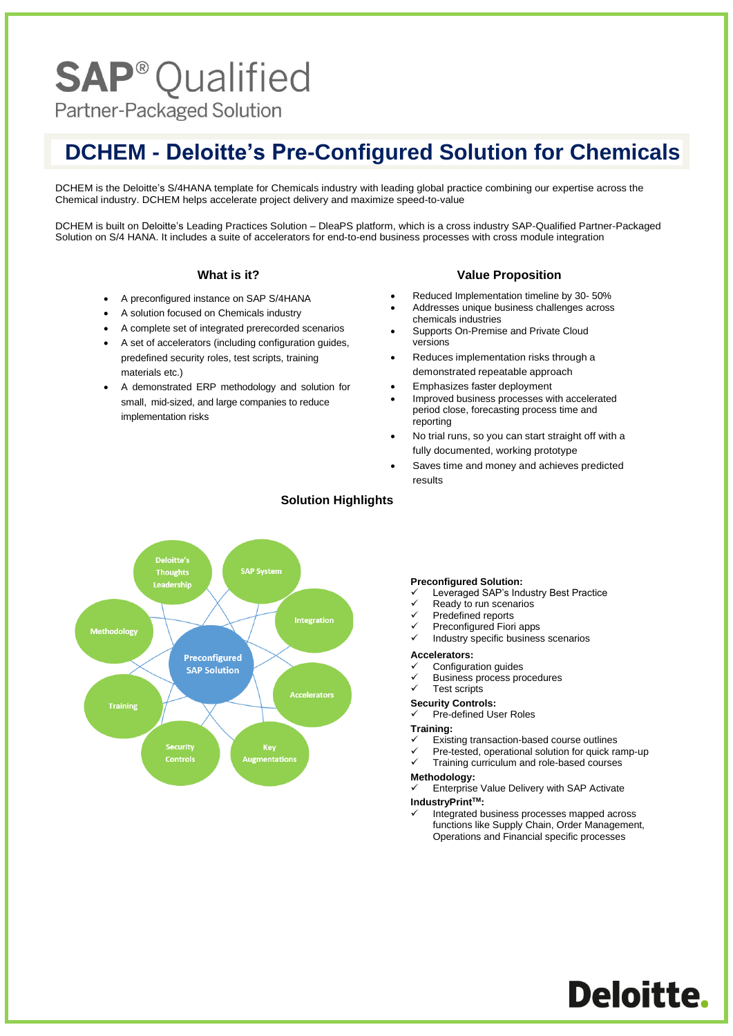# **SAP<sup>®</sup>Qualified**

Partner-Packaged Solution

## **DCHEM - Deloitte's Pre-Configured Solution for Chemicals**

DCHEM is the Deloitte's S/4HANA template for Chemicals industry with leading global practice combining our expertise across the Chemical industry. DCHEM helps accelerate project delivery and maximize speed-to-value

DCHEM is built on Deloitte's Leading Practices Solution – DleaPS platform, which is a cross industry SAP-Qualified Partner-Packaged Solution on S/4 HANA. It includes a suite of accelerators for end-to-end business processes with cross module integration

#### **What is it?**

- A preconfigured instance on SAP S/4HANA
- A solution focused on Chemicals industry
- A complete set of integrated prerecorded scenarios
- A set of accelerators (including configuration guides, predefined security roles, test scripts, training materials etc.)
- A demonstrated ERP methodology and solution for small, mid-sized, and large companies to reduce implementation risks

#### **Value Proposition**

- Reduced Implementation timeline by 30- 50%
- Addresses unique business challenges across chemicals industries
- Supports On-Premise and Private Cloud versions
- Reduces implementation risks through a demonstrated repeatable approach
- Emphasizes faster deployment
- Improved business processes with accelerated period close, forecasting process time and reporting
- No trial runs, so you can start straight off with a fully documented, working prototype
- Saves time and money and achieves predicted results



### **Solution Highlights**

#### **Preconfigured Solution:**

- Leveraged SAP's Industry Best Practice
- Ready to run scenarios
- Predefined reports
- Preconfigured Fiori apps
- Industry specific business scenarios

#### **Accelerators:**

- ✓ Configuration guides
- Business process procedures
- Test scripts

## **Security Controls:**

Pre-defined User Roles

#### **Training:**

- Existing transaction-based course outlines
- Pre-tested, operational solution for quick ramp-up
- Training curriculum and role-based courses

#### **Methodology:**

- Enterprise Value Delivery with SAP Activate
- **IndustryPrintTM:**
	- Integrated business processes mapped across functions like Supply Chain, Order Management, Operations and Financial specific processes

Deloitte.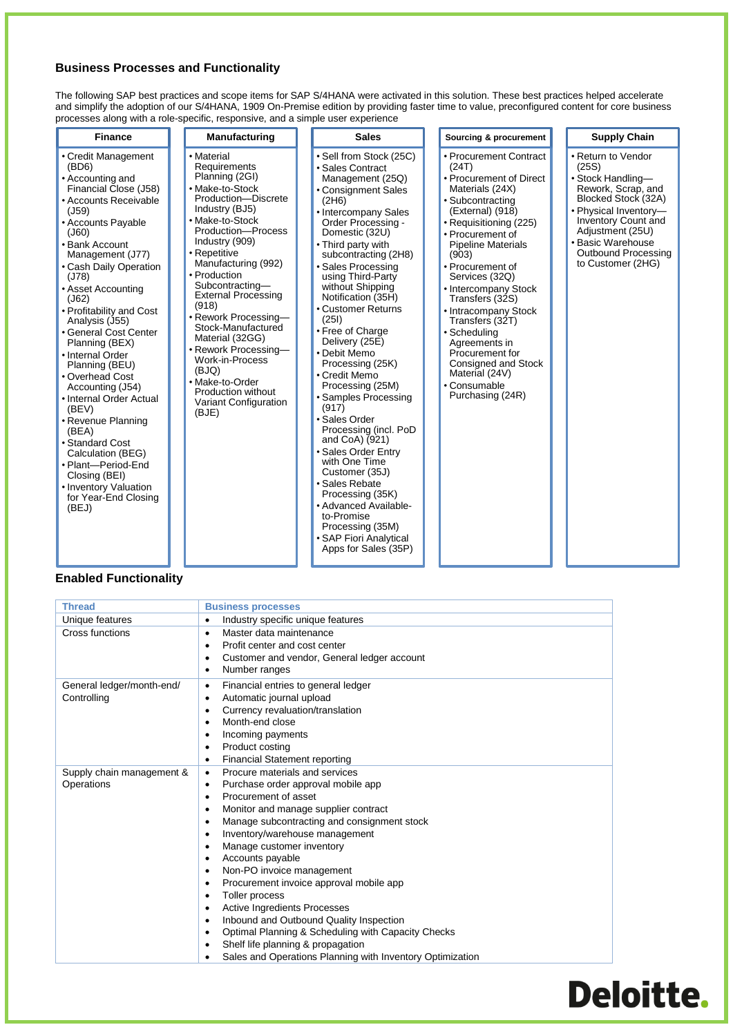## **Business Processes and Functionality**

The following SAP best practices and scope items for SAP S/4HANA were activated in this solution. These best practices helped accelerate and simplify the adoption of our S/4HANA, 1909 On-Premise edition by providing faster time to value, preconfigured content for core business processes along with a role-specific, responsive, and a simple user experience

| <b>Finance</b>                                                                                                                                                                                                                                                                                                                                                                                                                                                                                                                                                                                                                       | Manufacturing                                                                                                                                                                                                                                                                                                                                                                                                                                                                        | <b>Sales</b>                                                                                                                                                                                                                                                                                                                                                                                                                                                                                                                                                                                                                                                                                                                                               | Sourcing & procurement                                                                                                                                                                                                                                                                                                                                                                                                                                                 | <b>Supply Chain</b>                                                                                                                                                                                                                       |
|--------------------------------------------------------------------------------------------------------------------------------------------------------------------------------------------------------------------------------------------------------------------------------------------------------------------------------------------------------------------------------------------------------------------------------------------------------------------------------------------------------------------------------------------------------------------------------------------------------------------------------------|--------------------------------------------------------------------------------------------------------------------------------------------------------------------------------------------------------------------------------------------------------------------------------------------------------------------------------------------------------------------------------------------------------------------------------------------------------------------------------------|------------------------------------------------------------------------------------------------------------------------------------------------------------------------------------------------------------------------------------------------------------------------------------------------------------------------------------------------------------------------------------------------------------------------------------------------------------------------------------------------------------------------------------------------------------------------------------------------------------------------------------------------------------------------------------------------------------------------------------------------------------|------------------------------------------------------------------------------------------------------------------------------------------------------------------------------------------------------------------------------------------------------------------------------------------------------------------------------------------------------------------------------------------------------------------------------------------------------------------------|-------------------------------------------------------------------------------------------------------------------------------------------------------------------------------------------------------------------------------------------|
| • Credit Management<br>(BD6)<br>• Accounting and<br>Financial Close (J58)<br>• Accounts Receivable<br>(J59)<br>• Accounts Payable<br>(J60)<br>• Bank Account<br>Management (J77)<br>• Cash Daily Operation<br>(J78)<br>• Asset Accounting<br>(J62)<br>• Profitability and Cost<br>Analysis (J55)<br>• General Cost Center<br>Planning (BEX)<br>• Internal Order<br>Planning (BEU)<br>• Overhead Cost<br>Accounting (J54)<br>• Internal Order Actual<br>(BEV)<br>• Revenue Planning<br>(BEA)<br>· Standard Cost<br>Calculation (BEG)<br>• Plant-Period-End<br>Closing (BEI)<br>• Inventory Valuation<br>for Year-End Closing<br>(BEJ) | • Material<br>Requirements<br>Planning (2GI)<br>• Make-to-Stock<br>Production-Discrete<br>Industry (BJ5)<br>• Make-to-Stock<br>Production-Process<br>Industry (909)<br>• Repetitive<br>Manufacturing (992)<br>• Production<br>Subcontracting-<br><b>External Processing</b><br>(918)<br>· Rework Processing-<br>Stock-Manufactured<br>Material (32GG)<br>• Rework Processing-<br>Work-in-Process<br>(BJQ)<br>• Make-to-Order<br>Production without<br>Variant Configuration<br>(BJE) | • Sell from Stock (25C)<br>• Sales Contract<br>Management (25Q)<br>• Consignment Sales<br>(2H6)<br>• Intercompany Sales<br>Order Processing -<br>Domestic (32U)<br>• Third party with<br>subcontracting (2H8)<br>· Sales Processing<br>using Third-Party<br>without Shipping<br>Notification (35H)<br>• Customer Returns<br>(251)<br>• Free of Charge<br>Delivery (25E)<br>• Debit Memo<br>Processing (25K)<br>• Credit Memo<br>Processing (25M)<br>• Samples Processing<br>(917)<br>· Sales Order<br>Processing (incl. PoD<br>and CoA) (921)<br>• Sales Order Entry<br>with One Time<br>Customer (35J)<br>· Sales Rebate<br>Processing (35K)<br>• Advanced Available-<br>to-Promise<br>Processing (35M)<br>• SAP Fiori Analytical<br>Apps for Sales (35P) | • Procurement Contract<br>(24T)<br>• Procurement of Direct<br>Materials (24X)<br>· Subcontracting<br>(External) (918)<br>• Requisitioning (225)<br>• Procurement of<br><b>Pipeline Materials</b><br>(903)<br>• Procurement of<br>Services (32Q)<br>• Intercompany Stock<br>Transfers (32S)<br>• Intracompany Stock<br>Transfers (32T)<br>· Scheduling<br>Agreements in<br>Procurement for<br>Consigned and Stock<br>Material (24V)<br>• Consumable<br>Purchasing (24R) | • Return to Vendor<br>(25S)<br>• Stock Handling-<br>Rework, Scrap, and<br>Blocked Stock (32A)<br>• Physical Inventory-<br><b>Inventory Count and</b><br>Adjustment (25U)<br>• Basic Warehouse<br>Outbound Processing<br>to Customer (2HG) |

## **Enabled Functionality**

| <b>Thread</b>             | <b>Business processes</b>                                       |
|---------------------------|-----------------------------------------------------------------|
| Unique features           | Industry specific unique features<br>$\bullet$                  |
| Cross functions           | Master data maintenance<br>$\bullet$                            |
|                           | Profit center and cost center<br>$\bullet$                      |
|                           | Customer and vendor, General ledger account<br>$\bullet$        |
|                           | Number ranges<br>$\bullet$                                      |
| General ledger/month-end/ | Financial entries to general ledger<br>٠                        |
| Controlling               | Automatic journal upload<br>٠                                   |
|                           | Currency revaluation/translation<br>$\bullet$                   |
|                           | Month-end close<br>$\bullet$                                    |
|                           | Incoming payments<br>$\bullet$                                  |
|                           | Product costing<br>$\bullet$                                    |
|                           | <b>Financial Statement reporting</b><br>٠                       |
| Supply chain management & | Procure materials and services<br>٠                             |
| Operations                | Purchase order approval mobile app<br>٠                         |
|                           | Procurement of asset<br>$\bullet$                               |
|                           | Monitor and manage supplier contract<br>$\bullet$               |
|                           | Manage subcontracting and consignment stock<br>$\bullet$        |
|                           | Inventory/warehouse management<br>$\bullet$                     |
|                           | Manage customer inventory<br>$\bullet$                          |
|                           | Accounts payable<br>$\bullet$                                   |
|                           | Non-PO invoice management<br>٠                                  |
|                           | Procurement invoice approval mobile app<br>$\bullet$            |
|                           | Toller process<br>$\bullet$                                     |
|                           | <b>Active Ingredients Processes</b><br>$\bullet$                |
|                           | Inbound and Outbound Quality Inspection<br>$\bullet$            |
|                           | Optimal Planning & Scheduling with Capacity Checks<br>$\bullet$ |
|                           | Shelf life planning & propagation<br>٠                          |
|                           | Sales and Operations Planning with Inventory Optimization       |

## **Deloitte.**